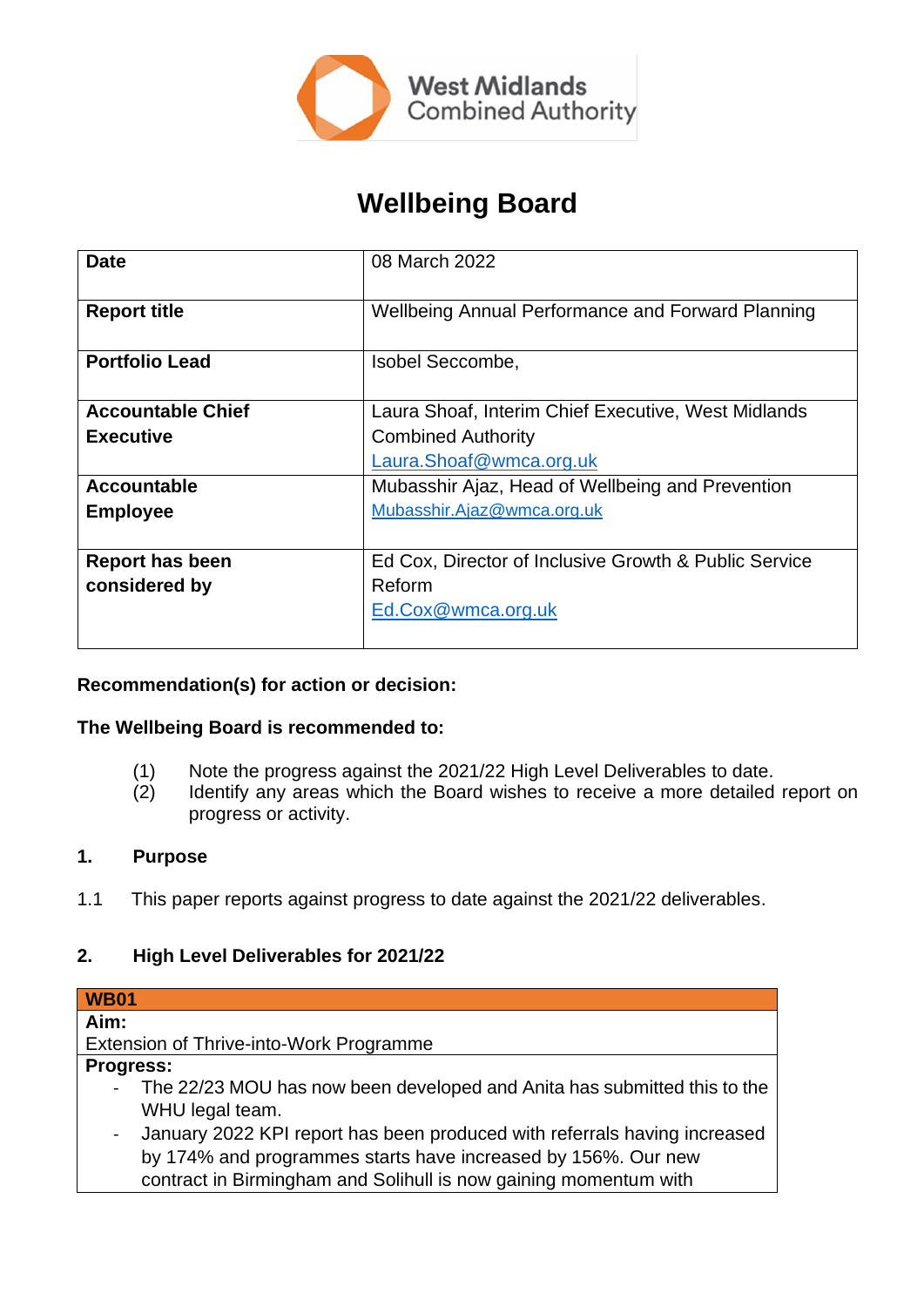

# **Wellbeing Board**

| <b>Date</b>              | 08 March 2022                                         |
|--------------------------|-------------------------------------------------------|
|                          |                                                       |
| <b>Report title</b>      | Wellbeing Annual Performance and Forward Planning     |
| <b>Portfolio Lead</b>    | Isobel Seccombe,                                      |
|                          |                                                       |
| <b>Accountable Chief</b> | Laura Shoaf, Interim Chief Executive, West Midlands   |
| <b>Executive</b>         | <b>Combined Authority</b>                             |
|                          | Laura.Shoaf@wmca.org.uk                               |
| <b>Accountable</b>       | Mubasshir Ajaz, Head of Wellbeing and Prevention      |
| <b>Employee</b>          | Mubasshir.Ajaz@wmca.org.uk                            |
|                          |                                                       |
| <b>Report has been</b>   | Ed Cox, Director of Inclusive Growth & Public Service |
| considered by            | Reform                                                |
|                          | Ed.Cox@wmca.org.uk                                    |
|                          |                                                       |

# **Recommendation(s) for action or decision:**

# **The Wellbeing Board is recommended to:**

- (1) Note the progress against the 2021/22 High Level Deliverables to date.
- (2) Identify any areas which the Board wishes to receive a more detailed report on progress or activity.

#### **1. Purpose**

1.1 This paper reports against progress to date against the 2021/22 deliverables.

# **2. High Level Deliverables for 2021/22**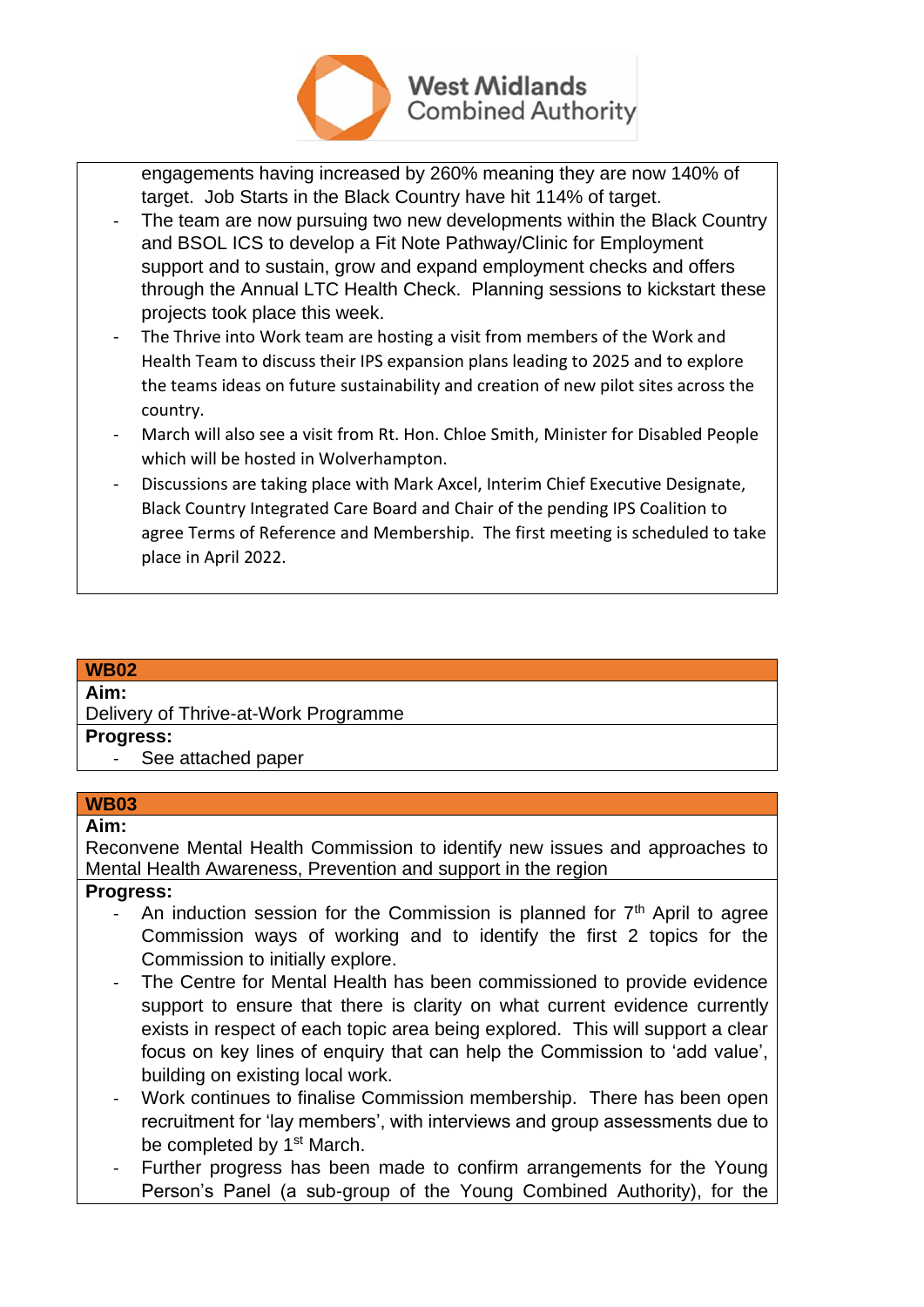

engagements having increased by 260% meaning they are now 140% of target. Job Starts in the Black Country have hit 114% of target.

- The team are now pursuing two new developments within the Black Country and BSOL ICS to develop a Fit Note Pathway/Clinic for Employment support and to sustain, grow and expand employment checks and offers through the Annual LTC Health Check. Planning sessions to kickstart these projects took place this week.
- The Thrive into Work team are hosting a visit from members of the Work and Health Team to discuss their IPS expansion plans leading to 2025 and to explore the teams ideas on future sustainability and creation of new pilot sites across the country.
- March will also see a visit from Rt. Hon. Chloe Smith, Minister for Disabled People which will be hosted in Wolverhampton.
- Discussions are taking place with Mark Axcel, Interim Chief Executive Designate, Black Country Integrated Care Board and Chair of the pending IPS Coalition to agree Terms of Reference and Membership. The first meeting is scheduled to take place in April 2022.

# **WB02 Aim:** Delivery of Thrive-at-Work Programme **Progress:**

See attached paper

# **WB03**

#### **Aim:**

Reconvene Mental Health Commission to identify new issues and approaches to Mental Health Awareness, Prevention and support in the region

# **Progress:**

- An induction session for the Commission is planned for  $7<sup>th</sup>$  April to agree Commission ways of working and to identify the first 2 topics for the Commission to initially explore.
- The Centre for Mental Health has been commissioned to provide evidence support to ensure that there is clarity on what current evidence currently exists in respect of each topic area being explored. This will support a clear focus on key lines of enquiry that can help the Commission to 'add value', building on existing local work.
- Work continues to finalise Commission membership. There has been open recruitment for 'lay members', with interviews and group assessments due to be completed by 1<sup>st</sup> March.
- Further progress has been made to confirm arrangements for the Young Person's Panel (a sub-group of the Young Combined Authority), for the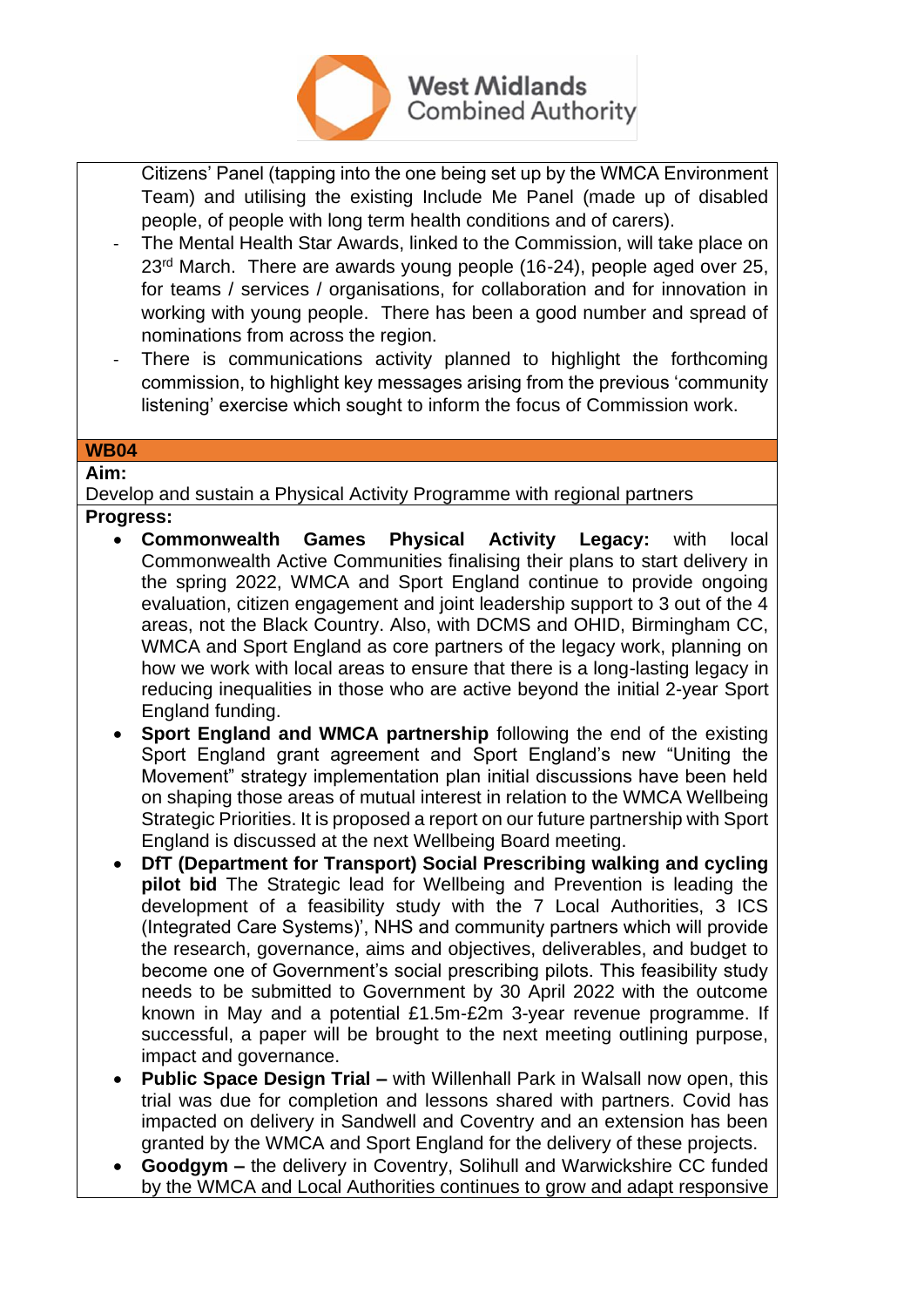

Citizens' Panel (tapping into the one being set up by the WMCA Environment Team) and utilising the existing Include Me Panel (made up of disabled people, of people with long term health conditions and of carers).

- The Mental Health Star Awards, linked to the Commission, will take place on 23<sup>rd</sup> March. There are awards young people (16-24), people aged over 25, for teams / services / organisations, for collaboration and for innovation in working with young people. There has been a good number and spread of nominations from across the region.
- There is communications activity planned to highlight the forthcoming commission, to highlight key messages arising from the previous 'community listening' exercise which sought to inform the focus of Commission work.

# **WB04**

**Aim:**

Develop and sustain a Physical Activity Programme with regional partners

- **Progress:** 
	- **Commonwealth Games Physical Activity Legacy:** with local Commonwealth Active Communities finalising their plans to start delivery in the spring 2022, WMCA and Sport England continue to provide ongoing evaluation, citizen engagement and joint leadership support to 3 out of the 4 areas, not the Black Country. Also, with DCMS and OHID, Birmingham CC, WMCA and Sport England as core partners of the legacy work, planning on how we work with local areas to ensure that there is a long-lasting legacy in reducing inequalities in those who are active beyond the initial 2-year Sport England funding.
	- **Sport England and WMCA partnership** following the end of the existing Sport England grant agreement and Sport England's new "Uniting the Movement" strategy implementation plan initial discussions have been held on shaping those areas of mutual interest in relation to the WMCA Wellbeing Strategic Priorities. It is proposed a report on our future partnership with Sport England is discussed at the next Wellbeing Board meeting.
	- **DfT (Department for Transport) Social Prescribing walking and cycling pilot bid** The Strategic lead for Wellbeing and Prevention is leading the development of a feasibility study with the 7 Local Authorities, 3 ICS (Integrated Care Systems)', NHS and community partners which will provide the research, governance, aims and objectives, deliverables, and budget to become one of Government's social prescribing pilots. This feasibility study needs to be submitted to Government by 30 April 2022 with the outcome known in May and a potential £1.5m-£2m 3-year revenue programme. If successful, a paper will be brought to the next meeting outlining purpose, impact and governance.
	- **Public Space Design Trial –** with Willenhall Park in Walsall now open, this trial was due for completion and lessons shared with partners. Covid has impacted on delivery in Sandwell and Coventry and an extension has been granted by the WMCA and Sport England for the delivery of these projects.
	- **Goodgym –** the delivery in Coventry, Solihull and Warwickshire CC funded by the WMCA and Local Authorities continues to grow and adapt responsive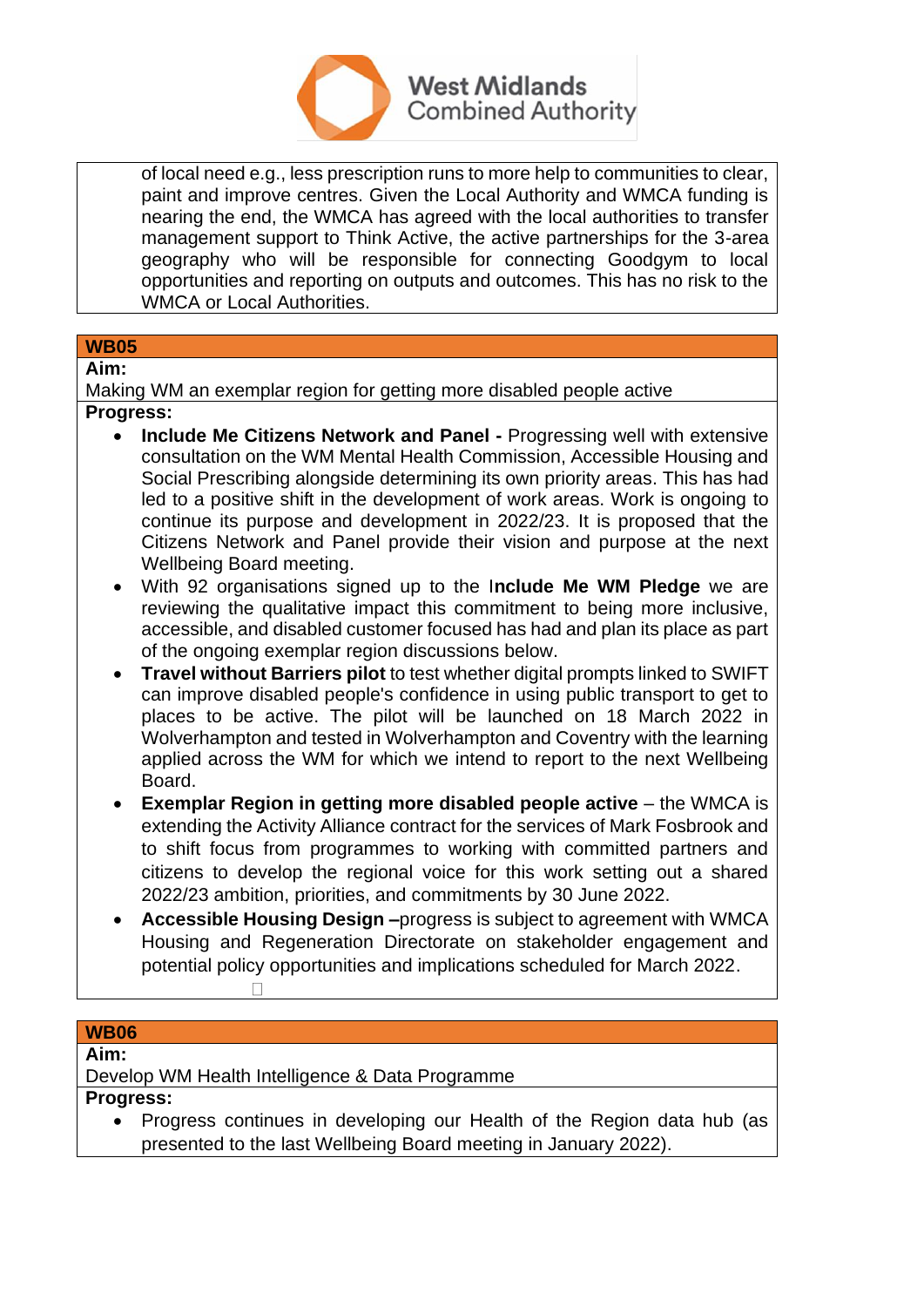

of local need e.g., less prescription runs to more help to communities to clear, paint and improve centres. Given the Local Authority and WMCA funding is nearing the end, the WMCA has agreed with the local authorities to transfer management support to Think Active, the active partnerships for the 3-area geography who will be responsible for connecting Goodgym to local opportunities and reporting on outputs and outcomes. This has no risk to the WMCA or Local Authorities.

#### **WB05 Aim:**

Making WM an exemplar region for getting more disabled people active **Progress:** 

- **Include Me Citizens Network and Panel -** Progressing well with extensive consultation on the WM Mental Health Commission, Accessible Housing and Social Prescribing alongside determining its own priority areas. This has had led to a positive shift in the development of work areas. Work is ongoing to continue its purpose and development in 2022/23. It is proposed that the Citizens Network and Panel provide their vision and purpose at the next Wellbeing Board meeting.
- With 92 organisations signed up to the I**nclude Me WM Pledge** we are reviewing the qualitative impact this commitment to being more inclusive, accessible, and disabled customer focused has had and plan its place as part of the ongoing exemplar region discussions below.
- **Travel without Barriers pilot** to test whether digital prompts linked to SWIFT can improve disabled people's confidence in using public transport to get to places to be active. The pilot will be launched on 18 March 2022 in Wolverhampton and tested in Wolverhampton and Coventry with the learning applied across the WM for which we intend to report to the next Wellbeing Board.
- **Exemplar Region in getting more disabled people active** the WMCA is extending the Activity Alliance contract for the services of Mark Fosbrook and to shift focus from programmes to working with committed partners and citizens to develop the regional voice for this work setting out a shared 2022/23 ambition, priorities, and commitments by 30 June 2022.
- **Accessible Housing Design –**progress is subject to agreement with WMCA Housing and Regeneration Directorate on stakeholder engagement and potential policy opportunities and implications scheduled for March 2022.

#### **WB06**

**Aim:**

Develop WM Health Intelligence & Data Programme

**Progress:** 

• Progress continues in developing our Health of the Region data hub (as presented to the last Wellbeing Board meeting in January 2022).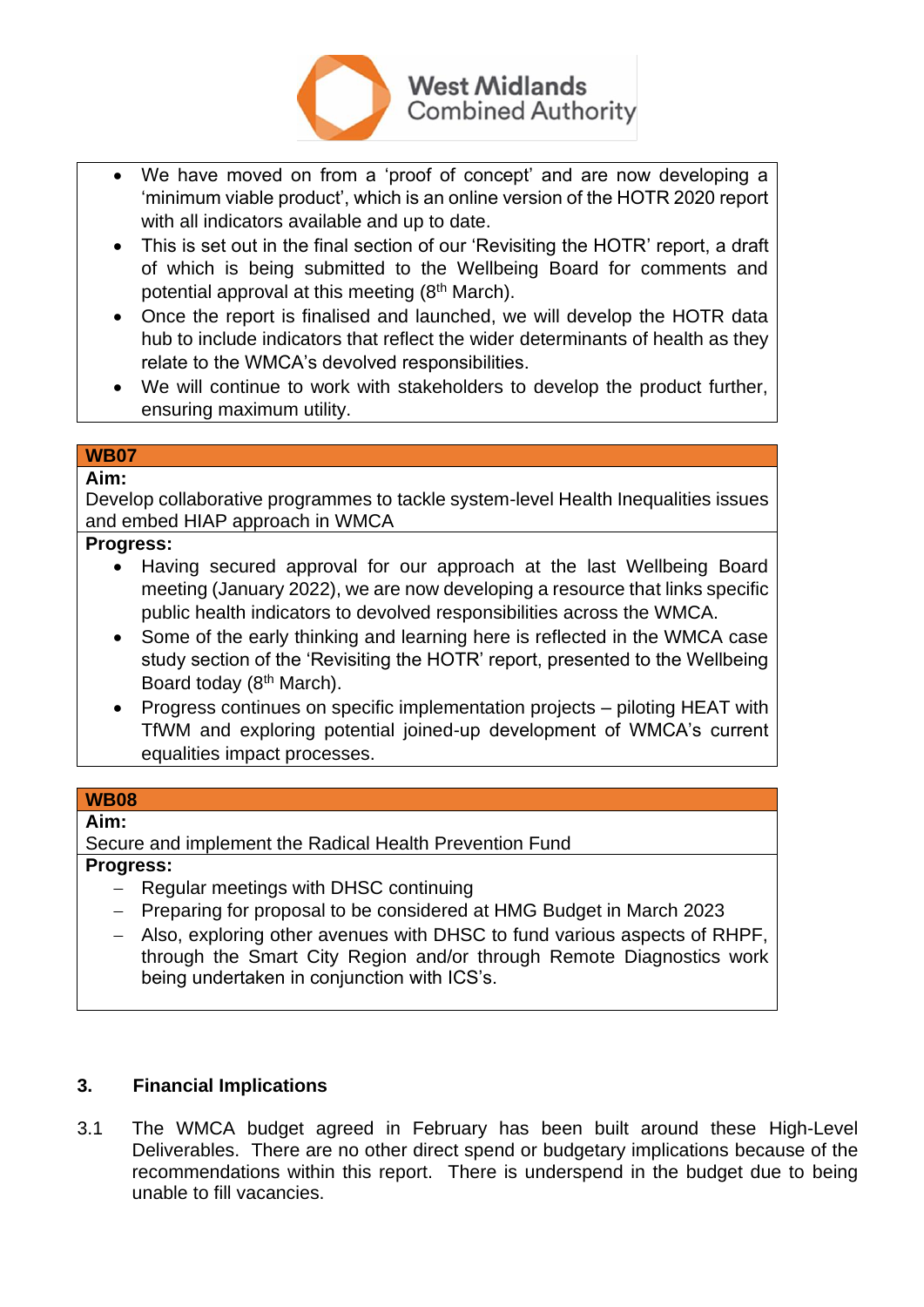

- We have moved on from a 'proof of concept' and are now developing a 'minimum viable product', which is an online version of the HOTR 2020 report with all indicators available and up to date.
- This is set out in the final section of our 'Revisiting the HOTR' report, a draft of which is being submitted to the Wellbeing Board for comments and potential approval at this meeting (8th March).
- Once the report is finalised and launched, we will develop the HOTR data hub to include indicators that reflect the wider determinants of health as they relate to the WMCA's devolved responsibilities.
- We will continue to work with stakeholders to develop the product further, ensuring maximum utility.

#### **WB07 Aim:**

Develop collaborative programmes to tackle system-level Health Inequalities issues and embed HIAP approach in WMCA

#### **Progress:**

- Having secured approval for our approach at the last Wellbeing Board meeting (January 2022), we are now developing a resource that links specific public health indicators to devolved responsibilities across the WMCA.
- Some of the early thinking and learning here is reflected in the WMCA case study section of the 'Revisiting the HOTR' report, presented to the Wellbeing Board today (8<sup>th</sup> March).
- Progress continues on specific implementation projects piloting HEAT with TfWM and exploring potential joined-up development of WMCA's current equalities impact processes.

#### **WB08**

#### **Aim:**

Secure and implement the Radical Health Prevention Fund

#### **Progress:**

- − Regular meetings with DHSC continuing
- − Preparing for proposal to be considered at HMG Budget in March 2023
- − Also, exploring other avenues with DHSC to fund various aspects of RHPF, through the Smart City Region and/or through Remote Diagnostics work being undertaken in conjunction with ICS's.

# **3. Financial Implications**

3.1 The WMCA budget agreed in February has been built around these High-Level Deliverables. There are no other direct spend or budgetary implications because of the recommendations within this report. There is underspend in the budget due to being unable to fill vacancies.